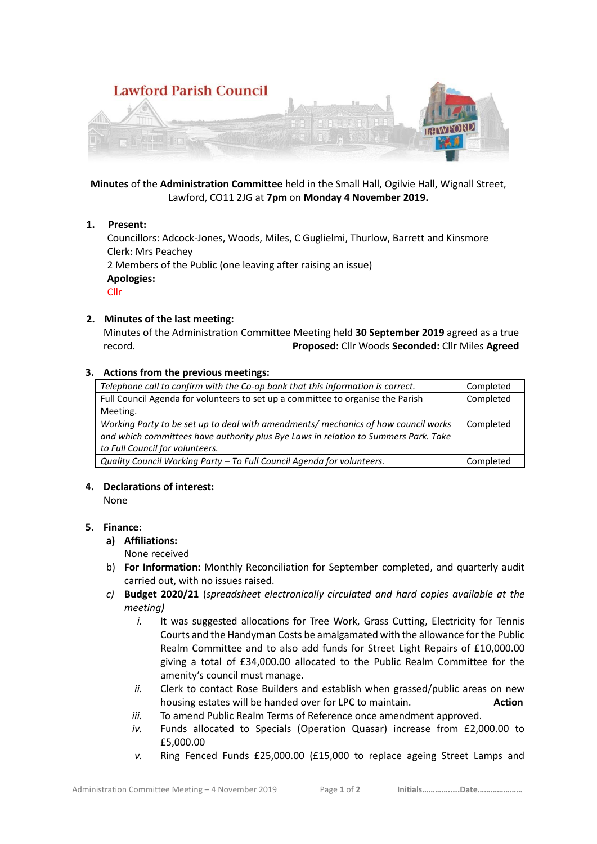

**Minutes** of the **Administration Committee** held in the Small Hall, Ogilvie Hall, Wignall Street, Lawford, CO11 2JG at **7pm** on **Monday 4 November 2019.**

**1. Present:**

 Councillors: Adcock-Jones, Woods, Miles, C Guglielmi, Thurlow, Barrett and Kinsmore Clerk: Mrs Peachey 2 Members of the Public (one leaving after raising an issue) **Apologies:** Cllr

## **2. Minutes of the last meeting:**

Minutes of the Administration Committee Meeting held **30 September 2019** agreed as a true record. **Proposed:** Cllr Woods **Seconded:** Cllr Miles **Agreed**

## **3. Actions from the previous meetings:**

| Telephone call to confirm with the Co-op bank that this information is correct.     | Completed |
|-------------------------------------------------------------------------------------|-----------|
| Full Council Agenda for volunteers to set up a committee to organise the Parish     | Completed |
| Meeting.                                                                            |           |
| Working Party to be set up to deal with amendments/ mechanics of how council works  | Completed |
| and which committees have authority plus Bye Laws in relation to Summers Park. Take |           |
| to Full Council for volunteers.                                                     |           |
| Quality Council Working Party - To Full Council Agenda for volunteers.              | Completed |

# **4. Declarations of interest:**

None

# **5. Finance:**

# **a) Affiliations:**

None received

- b) **For Information:** Monthly Reconciliation for September completed, and quarterly audit carried out, with no issues raised.
- *c)* **Budget 2020/21** (*spreadsheet electronically circulated and hard copies available at the meeting)* 
	- *i.* It was suggested allocations for Tree Work, Grass Cutting, Electricity for Tennis Courts and the Handyman Costs be amalgamated with the allowance for the Public Realm Committee and to also add funds for Street Light Repairs of £10,000.00 giving a total of £34,000.00 allocated to the Public Realm Committee for the amenity's council must manage.
	- *ii.* Clerk to contact Rose Builders and establish when grassed/public areas on new housing estates will be handed over for LPC to maintain. **Action**
	- *iii.* To amend Public Realm Terms of Reference once amendment approved.
	- *iv.* Funds allocated to Specials (Operation Quasar) increase from £2,000.00 to £5,000.00
	- *v.* Ring Fenced Funds £25,000.00 (£15,000 to replace ageing Street Lamps and